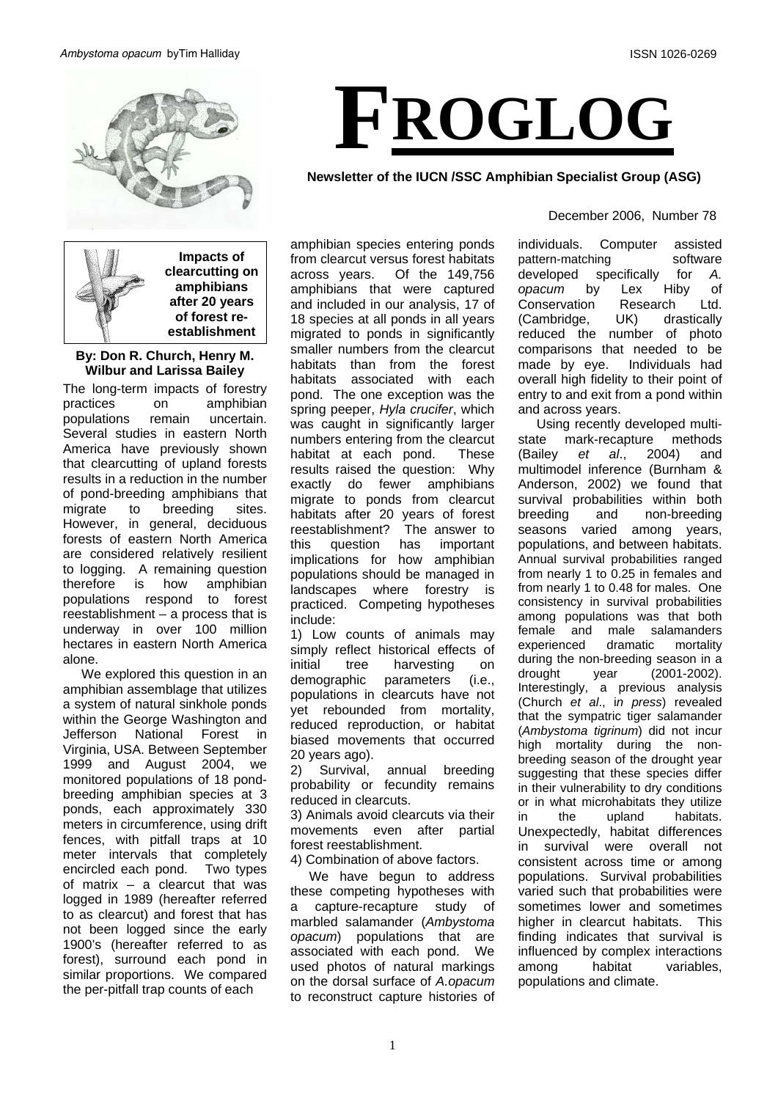

**Impacts of clearcutting on amphibians after 20 years of forest reestablishment** 

# **By: Don R. Church, Henry M. Wilbur and Larissa Bailey**

The long-term impacts of forestry practices on amphibian populations remain uncertain. Several studies in eastern North America have previously shown that clearcutting of upland forests results in a reduction in the number of pond-breeding amphibians that migrate to breeding sites. However, in general, deciduous forests of eastern North America are considered relatively resilient to logging. A remaining question<br>therefore is how amphibian therefore is how amphibian populations respond to forest reestablishment – a process that is underway in over 100 million hectares in eastern North America alone.

We explored this question in an amphibian assemblage that utilizes a system of natural sinkhole ponds within the George Washington and Jefferson National Forest in Virginia, USA. Between September 1999 and August 2004, we monitored populations of 18 pondbreeding amphibian species at 3 ponds, each approximately 330 meters in circumference, using drift fences, with pitfall traps at 10 meter intervals that completely encircled each pond. Two types of matrix – a clearcut that was logged in 1989 (hereafter referred to as clearcut) and forest that has not been logged since the early 1900's (hereafter referred to as forest), surround each pond in similar proportions. We compared the per-pitfall trap counts of each

amphibian species entering ponds from clearcut versus forest habitats across years. Of the 149,756 amphibians that were captured and included in our analysis, 17 of 18 species at all ponds in all years migrated to ponds in significantly smaller numbers from the clearcut habitats than from the forest habitats associated with each pond. The one exception was the spring peeper, *Hyla crucifer*, which was caught in significantly larger numbers entering from the clearcut habitat at each pond. These results raised the question: Why exactly do fewer amphibians migrate to ponds from clearcut habitats after 20 years of forest<br>reestablishment? The answer to reestablishment? this question has important implications for how amphibian populations should be managed in landscapes where forestry is practiced. Competing hypotheses include:

1) Low counts of animals may simply reflect historical effects of initial tree harvesting on demographic parameters (i.e., populations in clearcuts have not yet rebounded from mortality, reduced reproduction, or habitat biased movements that occurred 20 years ago).

2) Survival, annual breeding probability or fecundity remains reduced in clearcuts.

3) Animals avoid clearcuts via their movements even after partial forest reestablishment.

4) Combination of above factors.

We have begun to address these competing hypotheses with a capture-recapture study of marbled salamander (*Ambystoma opacum*) populations that are associated with each pond. We used photos of natural markings on the dorsal surface of *A.opacum*  to reconstruct capture histories of

# **FROGLOG**

**Newsletter of the IUCN /SSC Amphibian Specialist Group (ASG)** 

### December 2006, Number 78

individuals. Computer assisted pattern-matching software developed specifically for *A. opacum* by Lex Hiby of Conservation Research Ltd. (Cambridge, UK) drastically reduced the number of photo comparisons that needed to be made by eye. Individuals had overall high fidelity to their point of entry to and exit from a pond within and across years.

Using recently developed multistate mark-recapture methods (Bailey *et al*., 2004) and multimodel inference (Burnham & Anderson, 2002) we found that survival probabilities within both breeding and non-breeding seasons varied among years, populations, and between habitats. Annual survival probabilities ranged from nearly 1 to 0.25 in females and from nearly 1 to 0.48 for males. One consistency in survival probabilities among populations was that both female and male salamanders experienced dramatic mortality during the non-breeding season in a drought year (2001-2002). Interestingly, a previous analysis (Church *et al*., i*n press*) revealed that the sympatric tiger salamander (*Ambystoma tigrinum*) did not incur high mortality during the nonbreeding season of the drought year suggesting that these species differ in their vulnerability to dry conditions or in what microhabitats they utilize in the upland habitats. Unexpectedly, habitat differences in survival were overall not consistent across time or among populations. Survival probabilities varied such that probabilities were sometimes lower and sometimes higher in clearcut habitats. This finding indicates that survival is influenced by complex interactions among habitat variables, populations and climate.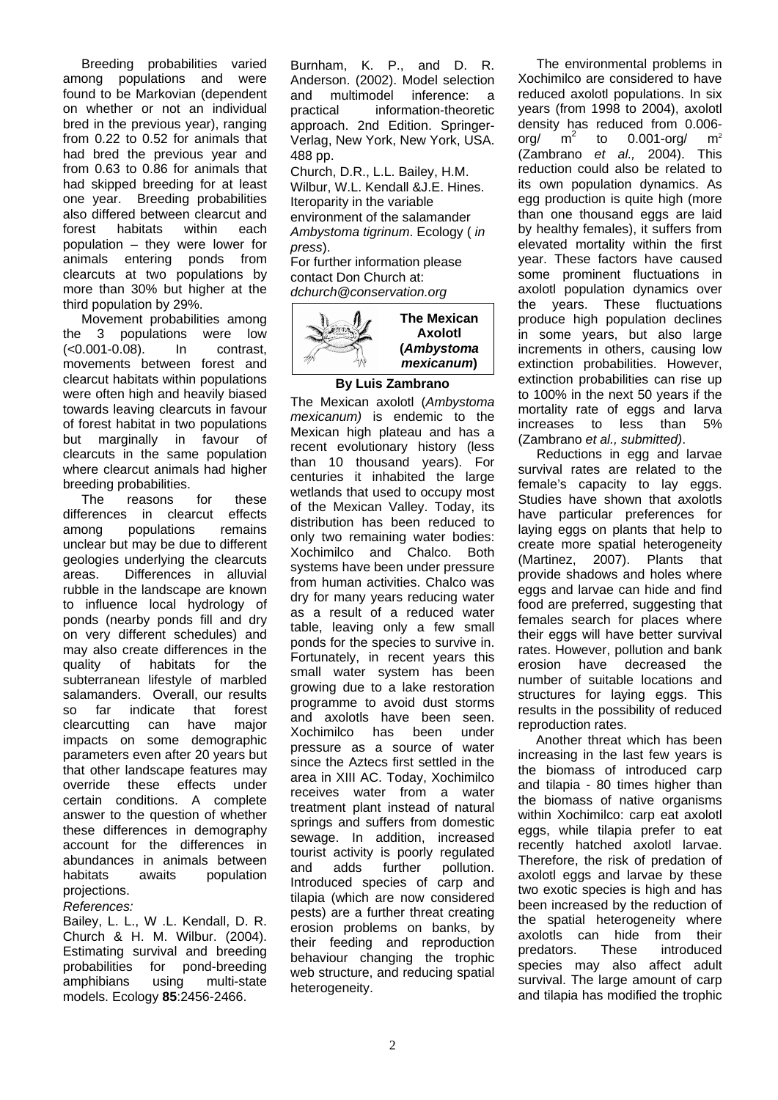Breeding probabilities varied among populations and were found to be Markovian (dependent on whether or not an individual bred in the previous year), ranging from 0.22 to 0.52 for animals that had bred the previous year and from 0.63 to 0.86 for animals that had skipped breeding for at least one year. Breeding probabilities also differed between clearcut and forest habitats within each population – they were lower for animals entering ponds from clearcuts at two populations by more than 30% but higher at the third population by 29%.

Movement probabilities among the 3 populations were low (<0.001-0.08). In contrast, movements between forest and clearcut habitats within populations were often high and heavily biased towards leaving clearcuts in favour of forest habitat in two populations but marginally in favour of clearcuts in the same population where clearcut animals had higher breeding probabilities.

The reasons for these differences in clearcut effects among populations remains unclear but may be due to different geologies underlying the clearcuts areas. Differences in alluvial rubble in the landscape are known to influence local hydrology of ponds (nearby ponds fill and dry on very different schedules) and may also create differences in the quality of habitats for the subterranean lifestyle of marbled salamanders. Overall, our results so far indicate that forest clearcutting can have major impacts on some demographic parameters even after 20 years but that other landscape features may override these effects under certain conditions. A complete answer to the question of whether these differences in demography account for the differences in abundances in animals between habitats awaits population projections.

### *References:*

Bailey, L. L., W .L. Kendall, D. R. Church & H. M. Wilbur. (2004). Estimating survival and breeding probabilities for pond-breeding amphibians using multi-state models. Ecology **85**:2456-2466.

Burnham, K. P., and D. R. Anderson. (2002). Model selection and multimodel inference: a practical information-theoretic approach. 2nd Edition. Springer-Verlag, New York, New York, USA. 488 pp.

Church, D.R., L.L. Bailey, H.M. Wilbur, W.L. Kendall &J.E. Hines. Iteroparity in the variable environment of the salamander *Ambystoma tigrinum*. Ecology ( *in press*).

For further information please contact Don Church at: *dchurch@conservation.org* 



## **By Luis Zambrano**

The Mexican axolotl (*Ambystoma mexicanum)* is endemic to the Mexican high plateau and has a recent evolutionary history (less than 10 thousand years). For centuries it inhabited the large wetlands that used to occupy most of the Mexican Valley. Today, its distribution has been reduced to only two remaining water bodies: Xochimilco and Chalco. Both systems have been under pressure from human activities. Chalco was dry for many years reducing water as a result of a reduced water table, leaving only a few small ponds for the species to survive in. Fortunately, in recent years this small water system has been growing due to a lake restoration programme to avoid dust storms and axolotls have been seen. Xochimilco has been under pressure as a source of water since the Aztecs first settled in the area in XIII AC. Today, Xochimilco receives water from a water treatment plant instead of natural springs and suffers from domestic sewage. In addition, increased tourist activity is poorly regulated<br>and adds further pollution. and adds further pollution. Introduced species of carp and tilapia (which are now considered pests) are a further threat creating erosion problems on banks, by their feeding and reproduction behaviour changing the trophic web structure, and reducing spatial heterogeneity.

 The environmental problems in Xochimilco are considered to have reduced axolotl populations. In six years (from 1998 to 2004), axolotl density has reduced from 0.006 org/  $m^2$  to 0.001-org/  $m^2$ (Zambrano *et al.,* 2004). This reduction could also be related to its own population dynamics. As egg production is quite high (more than one thousand eggs are laid by healthy females), it suffers from elevated mortality within the first year. These factors have caused some prominent fluctuations in axolotl population dynamics over the years. These fluctuations produce high population declines in some years, but also large increments in others, causing low extinction probabilities. However, extinction probabilities can rise up to 100% in the next 50 years if the mortality rate of eggs and larva increases to less than 5% (Zambrano *et al., submitted)*.

 Reductions in egg and larvae survival rates are related to the female's capacity to lay eggs. Studies have shown that axolotls have particular preferences for laying eggs on plants that help to create more spatial heterogeneity (Martinez, 2007). Plants that provide shadows and holes where eggs and larvae can hide and find food are preferred, suggesting that females search for places where their eggs will have better survival rates. However, pollution and bank erosion have decreased the number of suitable locations and structures for laying eggs. This results in the possibility of reduced reproduction rates.

 Another threat which has been increasing in the last few years is the biomass of introduced carp and tilapia - 80 times higher than the biomass of native organisms within Xochimilco: carp eat axolotl eggs, while tilapia prefer to eat recently hatched axolotl larvae. Therefore, the risk of predation of axolotl eggs and larvae by these two exotic species is high and has been increased by the reduction of the spatial heterogeneity where axolotls can hide from their predators. These introduced species may also affect adult survival. The large amount of carp and tilapia has modified the trophic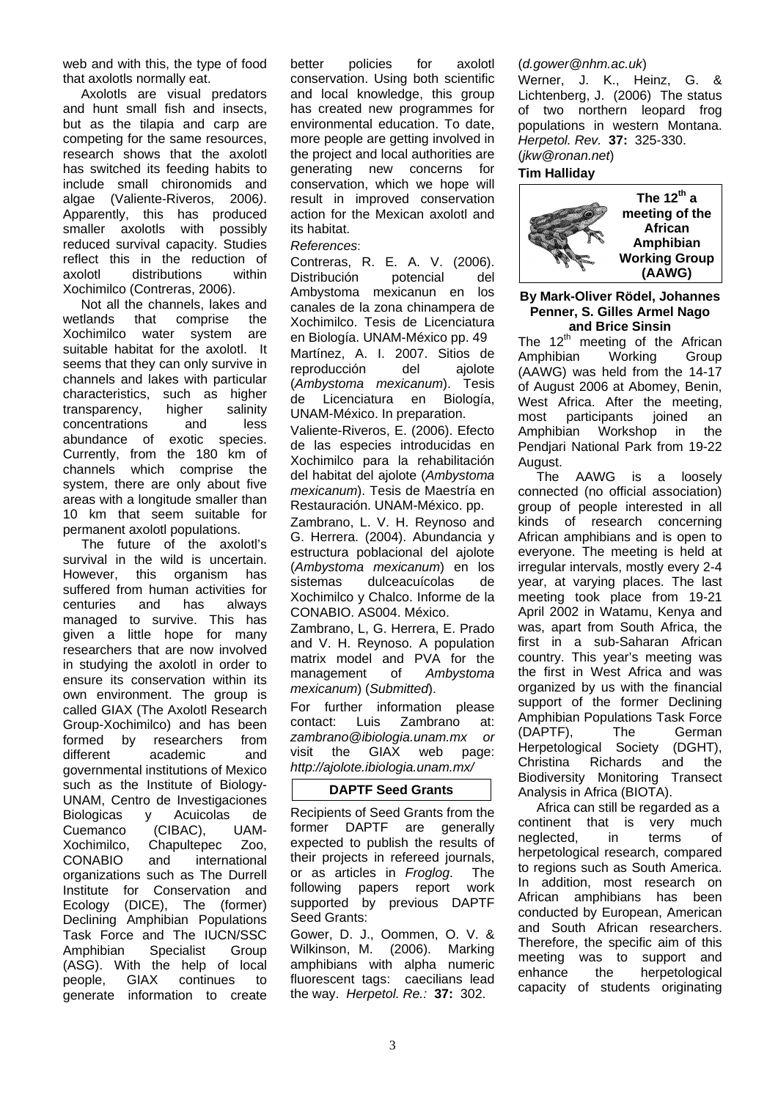web and with this, the type of food that axolotls normally eat.

 Axolotls are visual predators and hunt small fish and insects, but as the tilapia and carp are competing for the same resources, research shows that the axolotl has switched its feeding habits to include small chironomids and algae (Valiente-Riveros, 2006*)*. Apparently, this has produced smaller axolotls with possibly reduced survival capacity. Studies reflect this in the reduction of axolotl distributions within Xochimilco (Contreras, 2006).

 Not all the channels, lakes and wetlands that comprise the Xochimilco water system are suitable habitat for the axolotl. It seems that they can only survive in channels and lakes with particular characteristics, such as higher transparency, higher salinity concentrations and less abundance of exotic species. Currently, from the 180 km of channels which comprise the system, there are only about five areas with a longitude smaller than 10 km that seem suitable for permanent axolotl populations.

 The future of the axolotl's survival in the wild is uncertain. However, this organism has suffered from human activities for centuries and has always managed to survive. This has given a little hope for many researchers that are now involved in studying the axolotl in order to ensure its conservation within its own environment. The group is called GIAX (The Axolotl Research Group-Xochimilco) and has been formed by researchers from different academic and governmental institutions of Mexico such as the Institute of Biology-UNAM, Centro de Investigaciones Biologicas y Acuicolas de Cuemanco (CIBAC), UAM-Xochimilco, Chapultepec Zoo, CONABIO and international organizations such as The Durrell Institute for Conservation and Ecology (DICE), The (former) Declining Amphibian Populations Task Force and The IUCN/SSC Amphibian Specialist Group (ASG). With the help of local people, GIAX continues to generate information to create better policies for axolotl conservation. Using both scientific and local knowledge, this group has created new programmes for environmental education. To date, more people are getting involved in the project and local authorities are generating new concerns for conservation, which we hope will result in improved conservation action for the Mexican axolotl and its habitat.

### *References*:

Contreras, R. E. A. V. (2006). Distribución potencial del Ambystoma mexicanun en los canales de la zona chinampera de Xochimilco. Tesis de Licenciatura en Biología. UNAM-México pp. 49 Martínez, A. I. 2007. Sitios de reproducción del ajolote (*Ambystoma mexicanum*). Tesis de Licenciatura en Biología, UNAM-México. In preparation.

Valiente-Riveros, E. (2006). Efecto de las especies introducidas en Xochimilco para la rehabilitación del habitat del ajolote (*Ambystoma mexicanum*). Tesis de Maestría en Restauración. UNAM-México. pp.

Zambrano, L. V. H. Reynoso and G. Herrera. (2004). Abundancia y estructura poblacional del ajolote (*Ambystoma mexicanum*) en los sistemas dulceacuícolas de Xochimilco y Chalco. Informe de la CONABIO. AS004. México.

Zambrano, L, G. Herrera, E. Prado and V. H. Reynoso. A population matrix model and PVA for the management of *Ambystoma mexicanum*) (*Submitted*).

For further information please contact: Luis Zambrano at: *zambrano@ibiologia.unam.mx or*  visit the GIAX web page: *http://ajolote.ibiologia.unam.mx/*

# **DAPTF Seed Grants**

Recipients of Seed Grants from the former DAPTF are generally expected to publish the results of their projects in refereed journals, or as articles in *Froglog*. The following papers report work supported by previous DAPTF Seed Grants:

Gower, D. J., Oommen, O. V. & Wilkinson, M. (2006). Marking amphibians with alpha numeric fluorescent tags: caecilians lead the way. *Herpetol. Re.:* **37:** 302.

### (*d.gower@nhm.ac.uk*)

Werner, J. K., Heinz, G. & Lichtenberg, J. (2006) The status of two northern leopard frog populations in western Montana. *Herpetol. Rev.* **37:** 325-330. (*jkw@ronan.net*) #

### **Tim Halliday**



### **By Mark-Oliver Rödel, Johannes Penner, S. Gilles Armel Nago and Brice Sinsin**

The  $12<sup>th</sup>$  meeting of the African Amphibian Working Group (AAWG) was held from the 14-17 of August 2006 at Abomey, Benin, West Africa. After the meeting, most participants joined an Amphibian Workshop in the Pendjari National Park from 19-22 August.

The AAWG is a loosely connected (no official association) group of people interested in all kinds of research concerning African amphibians and is open to everyone. The meeting is held at irregular intervals, mostly every 2-4 year, at varying places. The last meeting took place from 19-21 April 2002 in Watamu, Kenya and was, apart from South Africa, the first in a sub-Saharan African country. This year's meeting was the first in West Africa and was organized by us with the financial support of the former Declining Amphibian Populations Task Force (DAPTF), The German Herpetological Society (DGHT), Christina Richards and the Biodiversity Monitoring Transect Analysis in Africa (BIOTA).

Africa can still be regarded as a continent that is very much neglected, in terms of herpetological research, compared to regions such as South America. In addition, most research on African amphibians has been conducted by European, American and South African researchers. Therefore, the specific aim of this meeting was to support and enhance the herpetological capacity of students originating